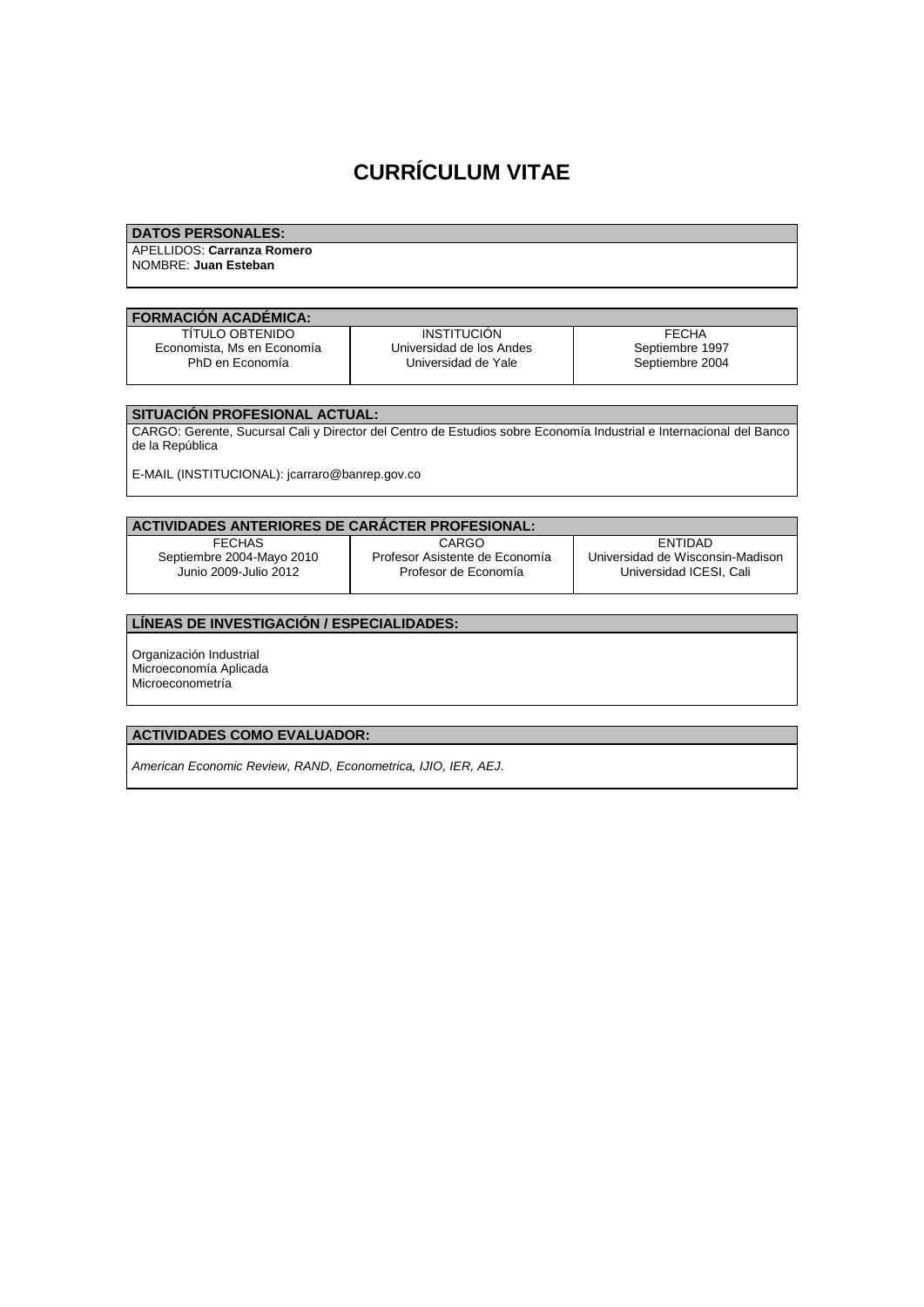# **CURRÍCULUM VITAE**

## **DATOS PERSONALES:**

APELLIDOS: **Carranza Romero** NOMBRE: **Juan Esteban**

#### **FORMACIÓN ACADÉMICA:**

TÍTULO OBTENIDO Economista, Ms en Economía PhD en Economía

**INSTITUCIÓN** Universidad de los Andes Universidad de Yale

FECHA Septiembre 1997 Septiembre 2004

## **SITUACIÓN PROFESIONAL ACTUAL:**

CARGO: Gerente, Sucursal Cali y Director del Centro de Estudios sobre Economía Industrial e Internacional del Banco de la República

E-MAIL (INSTITUCIONAL): jcarraro@banrep.gov.co

| ACTIVIDADES ANTERIORES DE CARACTER PROFESIONAL: |                                |                                  |
|-------------------------------------------------|--------------------------------|----------------------------------|
| <b>FFCHAS</b>                                   | <b>CARGO</b>                   | <b>FNTIDAD</b>                   |
| Septiembre 2004-Mayo 2010                       | Profesor Asistente de Economía | Universidad de Wisconsin-Madison |
| Junio 2009-Julio 2012                           | Profesor de Economía           | Universidad ICESI, Cali          |

## **LÍNEAS DE INVESTIGACIÓN / ESPECIALIDADES:**

Organización Industrial Microeconomía Aplicada Microeconometría

## **ACTIVIDADES COMO EVALUADOR:**

*American Economic Review, RAND, Econometrica, IJIO, IER, AEJ.*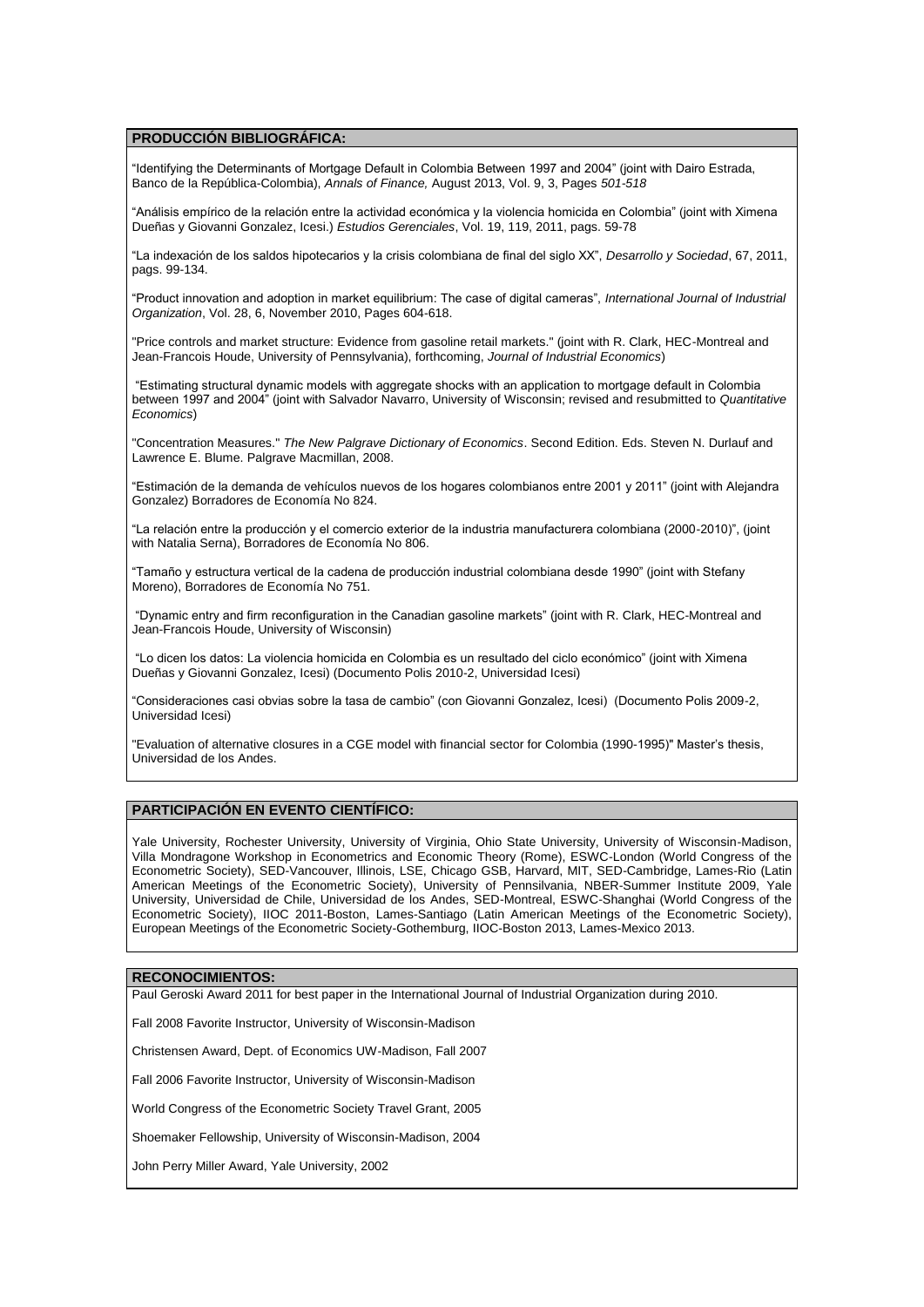#### **PRODUCCIÓN BIBLIOGRÁFICA:**

"Identifying the Determinants of Mortgage Default in Colombia Between 1997 and 2004" (joint with Dairo Estrada, Banco de la República-Colombia), *Annals of Finance,* August 2013, Vol. 9, 3, Pages *501-518*

"Análisis empírico de la relación entre la actividad económica y la violencia homicida en Colombia" (joint with Ximena Dueñas y Giovanni Gonzalez, Icesi.) *Estudios Gerenciales*, Vol. 19, 119, 2011, pags. 59-78

"La indexación de los saldos hipotecarios y la crisis colombiana de final del siglo XX", *Desarrollo y Sociedad*, 67, 2011, pags. 99-134.

"Product innovation and adoption in market equilibrium: The case of digital cameras", *International Journal of Industrial Organization*, Vol. 28, 6, November 2010, Pages 604-618.

"Price controls and market structure: Evidence from gasoline retail markets." (joint with R. Clark, HEC-Montreal and Jean-Francois Houde, University of Pennsylvania), forthcoming, *Journal of Industrial Economics*)

"Estimating structural dynamic models with aggregate shocks with an application to mortgage default in Colombia between 1997 and 2004" (joint with Salvador Navarro, University of Wisconsin; revised and resubmitted to *Quantitative Economics*)

"Concentration Measures." *The New Palgrave Dictionary of Economics*. Second Edition. Eds. Steven N. Durlauf and Lawrence E. Blume. Palgrave Macmillan, 2008.

"Estimación de la demanda de vehículos nuevos de los hogares colombianos entre 2001 y 2011" (joint with Alejandra Gonzalez) Borradores de Economía No 824.

"La relación entre la producción y el comercio exterior de la industria manufacturera colombiana (2000-2010)", (joint with Natalia Serna), Borradores de Economía No 806.

"Tamaño y estructura vertical de la cadena de producción industrial colombiana desde 1990" (joint with Stefany Moreno), Borradores de Economía No 751.

"Dynamic entry and firm reconfiguration in the Canadian gasoline markets" (joint with R. Clark, HEC-Montreal and Jean-Francois Houde, University of Wisconsin)

"Lo dicen los datos: La violencia homicida en Colombia es un resultado del ciclo económico" (joint with Ximena Dueñas y Giovanni Gonzalez, Icesi) (Documento Polis 2010-2, Universidad Icesi)

"Consideraciones casi obvias sobre la tasa de cambio" (con Giovanni Gonzalez, Icesi) (Documento Polis 2009-2, Universidad Icesi)

"Evaluation of alternative closures in a CGE model with financial sector for Colombia (1990-1995)" Master's thesis, Universidad de los Andes.

#### **PARTICIPACIÓN EN EVENTO CIENTÍFICO:**

Yale University, Rochester University, University of Virginia, Ohio State University, University of Wisconsin-Madison, Villa Mondragone Workshop in Econometrics and Economic Theory (Rome), ESWC-London (World Congress of the Econometric Society), SED-Vancouver, Illinois, LSE, Chicago GSB, Harvard, MIT, SED-Cambridge, Lames-Rio (Latin American Meetings of the Econometric Society), University of Pennsilvania, NBER-Summer Institute 2009, Yale University, Universidad de Chile, Universidad de los Andes, SED-Montreal, ESWC-Shanghai (World Congress of the Econometric Society), IIOC 2011-Boston, Lames-Santiago (Latin American Meetings of the Econometric Society), European Meetings of the Econometric Society-Gothemburg, IIOC-Boston 2013, Lames-Mexico 2013.

#### **RECONOCIMIENTOS:**

Paul Geroski Award 2011 for best paper in the International Journal of Industrial Organization during 2010.

Fall 2008 Favorite Instructor, University of Wisconsin-Madison

Christensen Award, Dept. of Economics UW-Madison, Fall 2007

Fall 2006 Favorite Instructor, University of Wisconsin-Madison

World Congress of the Econometric Society Travel Grant, 2005

Shoemaker Fellowship, University of Wisconsin-Madison, 2004

John Perry Miller Award, Yale University, 2002